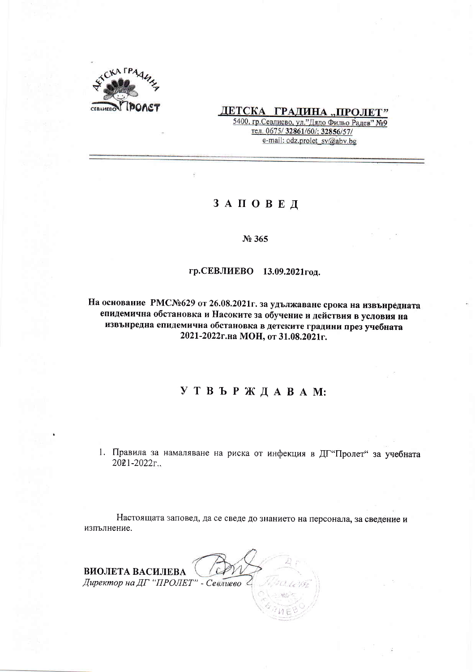

### ДЕТСКА ГРАДИНА "ПРОЛЕТ"

5400, гр. Севлиево, ул. "Дядо Фильо Радев" №9 тел. 0675/32861/60/; 32856/57/ e-mail: odz.prolet sv@abv.bg

#### ЗАПОВЕД

#### No 365

#### гр. СЕВЛИЕВО 13.09.2021 год.

На основание РМС№629 от 26.08.2021г. за удължаване срока на извънредната епидемична обстановка и Насоките за обучение и действия в условия на извънредна епидемична обстановка в детските градини през учебната 2021-2022г. на МОН, от 31.08.2021г.

#### УТВЪРЖДАВАМ:

1. Правила за намаляване на риска от инфекция в ДГ"Пролет" за учебната  $2021 - 2022$ <sub>L</sub>

Настоящата заповед, да се сведе до знанието на персонала, за сведение и изпълнение.

ВИОЛЕТА ВАСИЛЕВА Директор на ДГ "ПРОЛЕТ" - Севлиево С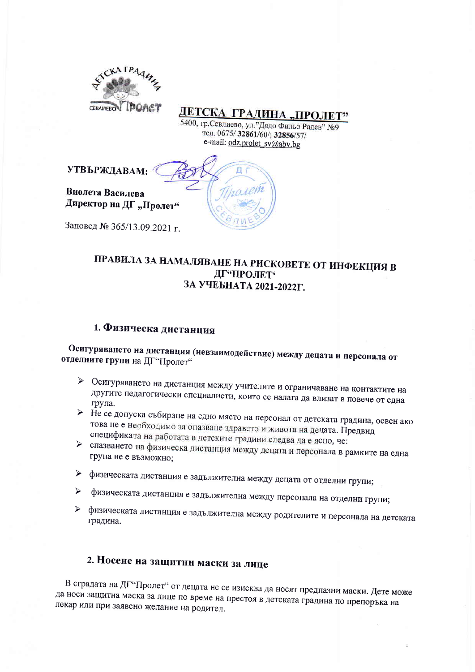

ДЕТСКА ГРАДИНА "ПРОЛЕТ"

5400, гр.Севлиево, ул."Дядо Фильо Радев" №9 тел. 0675/32861/60/: 32856/57/ e-mail: odz.prolet sv@abv.bg

#### УТВЪРЖДАВАМ:

Виолета Василева Директор на ДГ "Пролет"

Заповед № 365/13.09.2021 г.

### ПРАВИЛА ЗА НАМАЛЯВАНЕ НА РИСКОВЕТЕ ОТ ИНФЕКЦИЯ В ДГ"ПРОЛЕТ" ЗА УЧЕБНАТА 2021-2022Г.

### 1. Физическа дистанция

Осигуряването на дистанция (невзаимодействие) между децата и персонала от отделните групи на ДГ"Пролет"

- > Осигуряването на дистанция между учителите и ограничаване на контактите на другите педагогически специалисти, които се налага да влизат в повече от една група.
- > Не се допуска събиране на едно място на персонал от детската градина, освен ако това не е необходимо за опазване здравето и живота на децата. Предвид спецификата на работата в детските градини следва да е ясно, че:
- > спазването на физическа дистанция между децата и персонала в рамките на една група не е възможно;
- > физическата дистанция е задължителна между децата от отделни групи;
- физическата дистанция е задължителна между персонала на отделни групи;  $\blacktriangleright$
- > физическата дистанция е задължителна между родителите и персонала на детската градина.

## 2. Носене на защитни маски за лице

В сградата на ДГ"Пролет" от децата не се изисква да носят предпазни маски. Дете може да носи защитна маска за лице по време на престоя в детската градина по препоръка на лекар или при заявено желание на родител.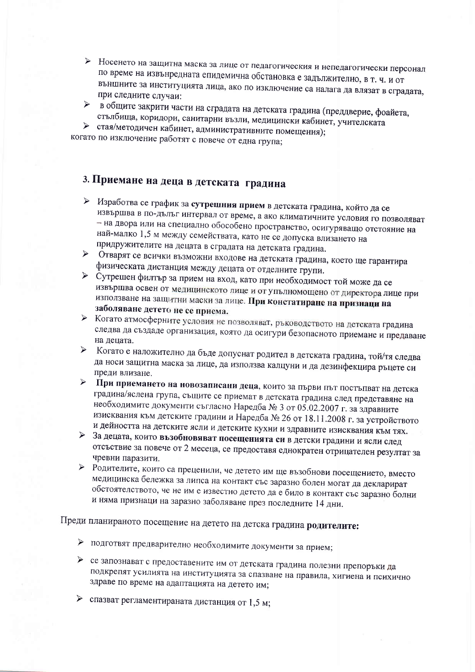- > Носенето на защитна маска за лице от педагогическия и непедагогически персонал по време на извънредната епидемична обстановка е задължително, в т. ч. и от външните за институцията лица, ако по изключение са налага да влязат в сградата, при следните случаи:
- ≻ в общите закрити части на сградата на детската градина (преддверие, фоайета, стълбища, коридори, санитарни възли, медицински кабинет, учителската
- > стая/методичен кабинет, административните помещения);

когато по изключение работят с повече от една група;

### 3. Приемане на деца в детската градина

- ≻ Изработва се график за сутрешния прием в детската градина, който да се извършва в по-дълъг интервал от време, а ако климатичните условия го позволяват - на двора или на специално обособено пространство, осигуряващо отстояние на най-малко 1,5 м между семействата, като не се допуска влизането на придружителите на децата в сградата на детската градина.
- > Отварят се всички възможни входове на детската градина, което ще гарантира физическата дистанция между децата от отделните групи.
- ≻ Сутрешен филтър за прием на вход, като при необходимост той може да се извършва освен от медицинското лице и от упълномощено от директора лице при използване на защитни маски за лице. При констатиране на признаци на заболяване детето не се приема.
- > Когато атмосферните условия не позволяват, ръководството на детската градина следва да създаде организация, която да осигури безопасното приемане и предаване на децата.
- > Когато е наложително да бъде допуснат родител в детската градина, той/тя следва да носи защитна маска за лице, да използва калцуни и да дезинфекцира ръцете си преди влизане.
- > При приемането на новозаписани деца, които за първи път постъпват на детска градина/яслена група, същите се приемат в детската градина след представяне на необходимите документи съгласно Наредба № 3 от 05.02.2007 г. за здравните изисквания към детските градини и Наредба № 26 от 18.11.2008 г. за устройството и дейността на детските ясли и детските кухни и здравните изисквания към тях.
- > За децата, които възобновяват посещенията си в детски градини и ясли след отсъствие за повече от 2 месеца, се предоставя еднократен отрицателен резултат за чревни паразити.
- > Родителите, които са преценили, че детето им ще възобнови посещението, вместо медицинска бележка за липса на контакт със заразно болен могат да декларират обстоятелството, че не им е известно детето да е било в контакт със заразно болни и няма признаци на заразно заболяване през последните 14 дни.

# Преди планираното посещение на детето на детска градина родителите:

- > подготвят предварително необходимите документи за прием;
- се запознават с предоставените им от детската градина полезни препоръки да подкрепят усилията на институцията за спазване на правила, хигиена и психично здраве по време на адаптацията на детето им;
- > спазват регламентираната дистанция от 1,5 м;